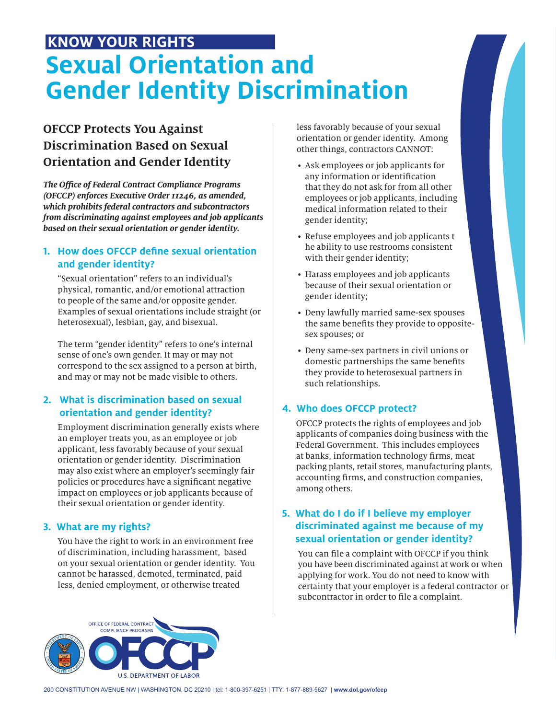# **KNOW YOUR RIGHTS Sexual Orientation and Gender Identity Discrimination**

# **OFCCP Protects You Against Discrimination Based on Sexual Orientation and Gender Identity**

**The Office of Federal Contract Compliance Programs (OFCCP) enforces Executive Order 11246, as amended, which prohibits federal contractors and subcontractors from discriminating against employees and job applicants based on their sexual orientation or gender identity.** 

### **1. How does OFCCP define sexual orientation and gender identity?**

"Sexual orientation" refers to an individual's physical, romantic, and/or emotional attraction to people of the same and/or opposite gender. Examples of sexual orientations include straight (or heterosexual), lesbian, gay, and bisexual.

The term "gender identity" refers to one's internal sense of one's own gender. It may or may not correspond to the sex assigned to a person at birth, and may or may not be made visible to others.

# **2. What is discrimination based on sexual orientation and gender identity?**

Employment discrimination generally exists where an employer treats you, as an employee or job applicant, less favorably because of your sexual orientation or gender identity. Discrimination may also exist where an employer's seemingly fair policies or procedures have a significant negative impact on employees or job applicants because of their sexual orientation or gender identity.

#### **3. What are my rights?**

You have the right to work in an environment free of discrimination, including harassment, based on your sexual orientation or gender identity. You cannot be harassed, demoted, terminated, paid less, denied employment, or otherwise treated

less favorably because of your sexual orientation or gender identity. Among other things, contractors CANNOT:

- Ask employees or job applicants for any information or identification that they do not ask for from all other employees or job applicants, including medical information related to their gender identity;
- Refuse employees and job applicants t he ability to use restrooms consistent with their gender identity;
- Harass employees and job applicants because of their sexual orientation or gender identity;
- Deny lawfully married same-sex spouses the same benefits they provide to oppositesex spouses; or
- Deny same-sex partners in civil unions or domestic partnerships the same benefits they provide to heterosexual partners in such relationships.

# **4. Who does OFCCP protect?**

OFCCP protects the rights of employees and job applicants of companies doing business with the Federal Government. This includes employees at banks, information technology firms, meat packing plants, retail stores, manufacturing plants, accounting firms, and construction companies, among others.

# 5. What do I do if I believe my employer discriminated against me because of my sexual orientation or gender identity?

You can file a complaint with OFCCP if you think you have been discriminated against at work or when applying for work. You do not need to know with certainty that your employer is a federal contractor or subcontractor in order to file a complaint.